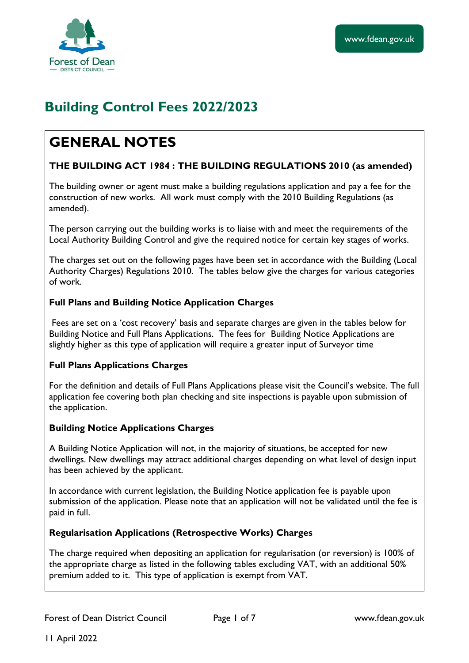

# **Building Control Fees 2022/2023**

# **GENERAL NOTES**

### **THE BUILDING ACT 1984 : THE BUILDING REGULATIONS 2010 (as amended)**

The building owner or agent must make a building regulations application and pay a fee for the construction of new works. All work must comply with the 2010 Building Regulations (as amended).

The person carrying out the building works is to liaise with and meet the requirements of the Local Authority Building Control and give the required notice for certain key stages of works.

The charges set out on the following pages have been set in accordance with the Building (Local Authority Charges) Regulations 2010. The tables below give the charges for various categories of work.

### **Full Plans and Building Notice Application Charges**

Fees are set on a 'cost recovery' basis and separate charges are given in the tables below for Building Notice and Full Plans Applications. The fees for Building Notice Applications are slightly higher as this type of application will require a greater input of Surveyor time

### **Full Plans Applications Charges**

For the definition and details of Full Plans Applications please visit the Council's website. The full application fee covering both plan checking and site inspections is payable upon submission of the application.

### **Building Notice Applications Charges**

A Building Notice Application will not, in the majority of situations, be accepted for new dwellings. New dwellings may attract additional charges depending on what level of design input has been achieved by the applicant.

In accordance with current legislation, the Building Notice application fee is payable upon submission of the application. Please note that an application will not be validated until the fee is paid in full.

### **Regularisation Applications (Retrospective Works) Charges**

The charge required when depositing an application for regularisation (or reversion) is 100% of the appropriate charge as listed in the following tables excluding VAT, with an additional 50% premium added to it. This type of application is exempt from VAT.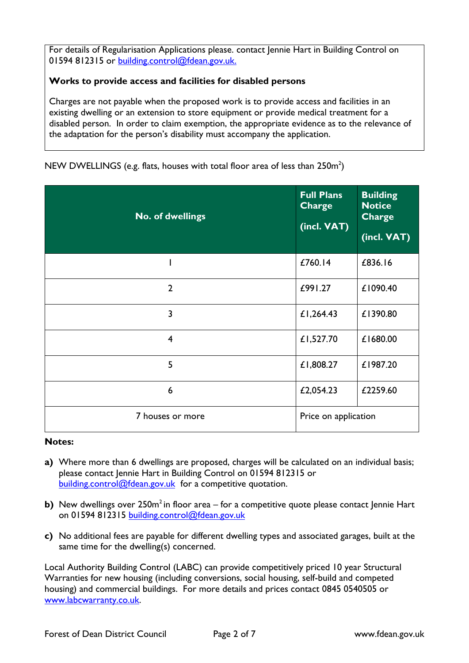For details of Regularisation Applications please. contact Jennie Hart in Building Control on 01594 812315 or [building.control@fdean.gov.uk.](mailto:building.control@fdean.gov.uk)

### **Works to provide access and facilities for disabled persons**

Charges are not payable when the proposed work is to provide access and facilities in an existing dwelling or an extension to store equipment or provide medical treatment for a disabled person. In order to claim exemption, the appropriate evidence as to the relevance of the adaptation for the person's disability must accompany the application.

| No. of dwellings | <b>Full Plans</b><br>Charge<br>(incl. VAT) | <b>Building</b><br><b>Notice</b><br><b>Charge</b><br>(incl. VAT) |
|------------------|--------------------------------------------|------------------------------------------------------------------|
|                  | £760.14                                    | £836.16                                                          |
| $\overline{2}$   | £991.27                                    | £1090.40                                                         |
| 3                | £1,264.43                                  | £1390.80                                                         |
| $\overline{4}$   | £1,527.70                                  | £1680.00                                                         |
| 5                | £1,808.27                                  | £1987.20                                                         |
| 6                | £2,054.23                                  | £2259.60                                                         |
| 7 houses or more | Price on application                       |                                                                  |

NEW DWELLINGS (e.g. flats, houses with total floor area of less than  $250m^2$ )

#### **Notes:**

- **a)** Where more than 6 dwellings are proposed, charges will be calculated on an individual basis; please contact Jennie Hart in Building Control on 01594 812315 or [building.control@fdean.gov.uk](mailto:building.control@fdean.gov.uk) for a competitive quotation.
- **b)** New dwellings over 250 $m<sup>2</sup>$  in floor area for a competitive quote please contact lennie Hart on 01594 812315 [building.control@fdean.gov.uk](mailto:building.control@fdean.gov.uk)
- **c)** No additional fees are payable for different dwelling types and associated garages, built at the same time for the dwelling(s) concerned.

Local Authority Building Control (LABC) can provide competitively priced 10 year Structural Warranties for new housing (including conversions, social housing, self-build and competed housing) and commercial buildings. For more details and prices contact 0845 0540505 or [www.labcwarranty.co.uk.](http://www.labcwarranty.co.uk/)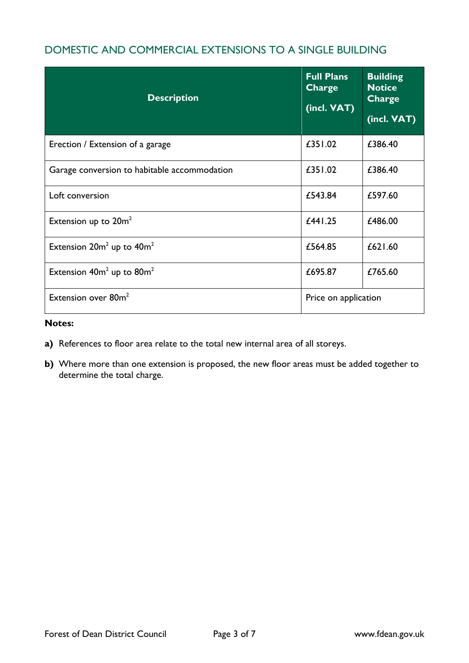## DOMESTIC AND COMMERCIAL EXTENSIONS TO A SINGLE BUILDING

| <b>Description</b>                           | <b>Full Plans</b><br>Charge<br>(incl. VAT) | <b>Building</b><br><b>Notice</b><br><b>Charge</b><br>(incl. VAT) |
|----------------------------------------------|--------------------------------------------|------------------------------------------------------------------|
| Erection / Extension of a garage             | £351.02                                    | £386.40                                                          |
| Garage conversion to habitable accommodation | £351.02                                    | £386.40                                                          |
| Loft conversion                              | £543.84                                    | £597.60                                                          |
| Extension up to $20m^2$                      | £441.25                                    | £486.00                                                          |
| Extension $20m^2$ up to $40m^2$              | £564.85                                    | £621.60                                                          |
| Extension $40m^2$ up to $80m^2$              | £695.87                                    | £765.60                                                          |
| Extension over $80m^2$                       | Price on application                       |                                                                  |

#### **Notes:**

- **a)** References to floor area relate to the total new internal area of all storeys.
- **b)** Where more than one extension is proposed, the new floor areas must be added together to determine the total charge.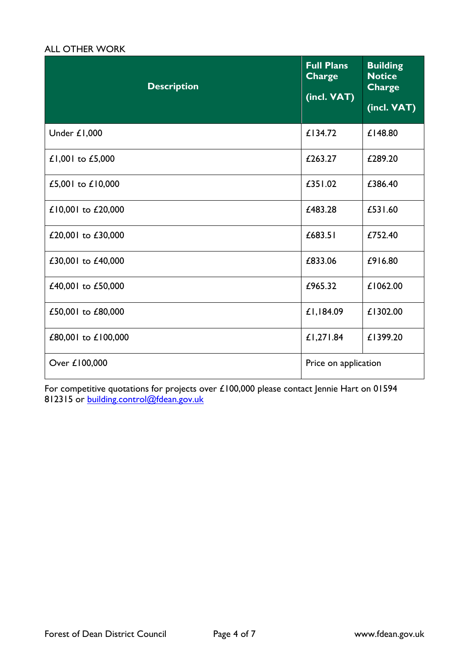### ALL OTHER WORK

| <b>Description</b>  | <b>Full Plans</b><br><b>Charge</b><br>(incl. VAT) | <b>Building</b><br><b>Notice</b><br><b>Charge</b><br>(incl. VAT) |
|---------------------|---------------------------------------------------|------------------------------------------------------------------|
| Under £1,000        | £134.72                                           | £148.80                                                          |
| £1,001 to £5,000    | £263.27                                           | £289.20                                                          |
| £5,001 to £10,000   | £351.02                                           | £386.40                                                          |
| £10,001 to £20,000  | £483.28                                           | £531.60                                                          |
| £20,001 to £30,000  | £683.51                                           | £752.40                                                          |
| £30,001 to £40,000  | £833.06                                           | £916.80                                                          |
| £40,001 to £50,000  | £965.32                                           | £1062.00                                                         |
| £50,001 to £80,000  | £1,184.09                                         | £1302.00                                                         |
| £80,001 to £100,000 | £1,271.84                                         | £1399.20                                                         |
| Over £100,000       | Price on application                              |                                                                  |

For competitive quotations for projects over £100,000 please contact Jennie Hart on 01594 812315 or [building.control@fdean.gov.uk](mailto:building.control@fdean.gov.uk)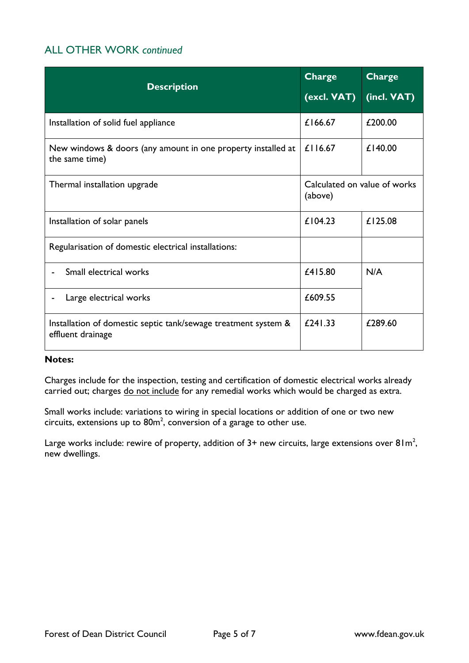## ALL OTHER WORK *continued*

| <b>Description</b>                                                                  | <b>Charge</b>                           | <b>Charge</b> |
|-------------------------------------------------------------------------------------|-----------------------------------------|---------------|
|                                                                                     | (excl. VAT)                             | (incl. VAT)   |
| Installation of solid fuel appliance                                                | £166.67                                 | £200.00       |
| New windows & doors (any amount in one property installed at<br>the same time)      | $£$   $6.67$                            | £140.00       |
| Thermal installation upgrade                                                        | Calculated on value of works<br>(above) |               |
| Installation of solar panels                                                        | £104.23                                 | £125.08       |
| Regularisation of domestic electrical installations:                                |                                         |               |
| Small electrical works                                                              | £415.80                                 | N/A           |
| Large electrical works                                                              | £609.55                                 |               |
| Installation of domestic septic tank/sewage treatment system &<br>effluent drainage | £241.33                                 | £289.60       |

#### **Notes:**

Charges include for the inspection, testing and certification of domestic electrical works already carried out; charges do not include for any remedial works which would be charged as extra.

Small works include: variations to wiring in special locations or addition of one or two new circuits, extensions up to  $80m^2$ , conversion of a garage to other use.

Large works include: rewire of property, addition of  $3+$  new circuits, large extensions over  $81m^2$ , new dwellings.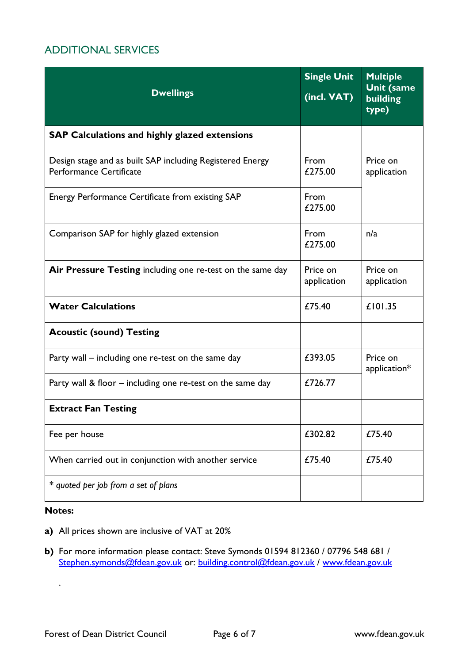### ADDITIONAL SERVICES

| <b>Dwellings</b>                                                                     | <b>Single Unit</b><br>(incl. VAT) | <b>Multiple</b><br><b>Unit (same</b><br>building<br>type) |
|--------------------------------------------------------------------------------------|-----------------------------------|-----------------------------------------------------------|
| <b>SAP Calculations and highly glazed extensions</b>                                 |                                   |                                                           |
| Design stage and as built SAP including Registered Energy<br>Performance Certificate | From<br>£275.00                   | Price on<br>application                                   |
| Energy Performance Certificate from existing SAP                                     | From<br>£275.00                   |                                                           |
| Comparison SAP for highly glazed extension                                           | From<br>£275.00                   | n/a                                                       |
| Air Pressure Testing including one re-test on the same day                           | Price on<br>application           | Price on<br>application                                   |
| <b>Water Calculations</b>                                                            | £75.40                            | £101.35                                                   |
| <b>Acoustic (sound) Testing</b>                                                      |                                   |                                                           |
| Party wall – including one re-test on the same day                                   | £393.05                           | Price on<br>application*                                  |
| Party wall $\&$ floor $-$ including one re-test on the same day                      | £726.77                           |                                                           |
| <b>Extract Fan Testing</b>                                                           |                                   |                                                           |
| Fee per house                                                                        | £302.82                           | £75.40                                                    |
| When carried out in conjunction with another service                                 | £75.40                            | £75.40                                                    |
| * quoted per job from a set of plans                                                 |                                   |                                                           |

#### **Notes:**

.

- **a)** All prices shown are inclusive of VAT at 20%
- **b)** For more information please contact: Steve Symonds 01594 812360 / 07796 548 681 / [Stephen.symonds@fdean.gov.uk](mailto:Stephen.symonds@fdean.gov.uk) or: [building.control@fdean.gov.uk](mailto:building.control@fdean.gov.uk) / [www.fdean.gov.uk](http://www.fdean.gov.uk/)